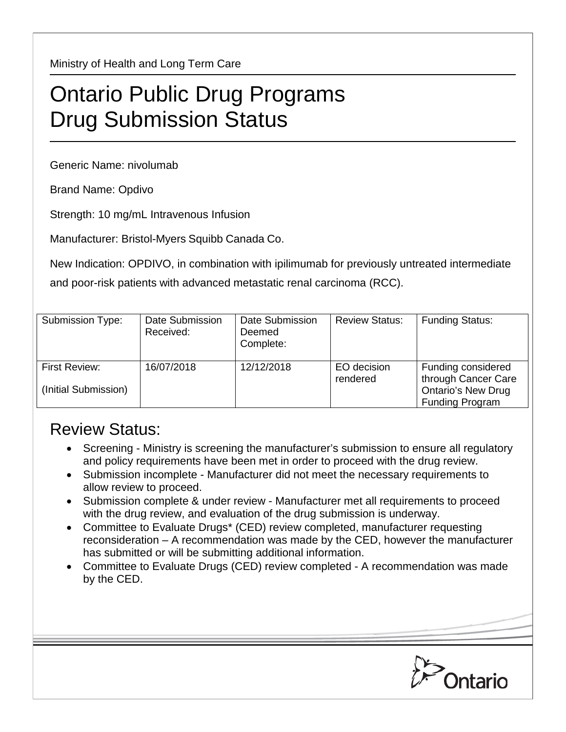Ministry of Health and Long Term Care

## Ontario Public Drug Programs Drug Submission Status

Generic Name: nivolumab

Brand Name: Opdivo

Strength: 10 mg/mL Intravenous Infusion

Manufacturer: Bristol-Myers Squibb Canada Co.

New Indication: OPDIVO, in combination with ipilimumab for previously untreated intermediate and poor-risk patients with advanced metastatic renal carcinoma (RCC).

| Submission Type:                      | Date Submission<br>Received: | Date Submission<br>Deemed<br>Complete: | <b>Review Status:</b>   | <b>Funding Status:</b>                                                                           |
|---------------------------------------|------------------------------|----------------------------------------|-------------------------|--------------------------------------------------------------------------------------------------|
| First Review:<br>(Initial Submission) | 16/07/2018                   | 12/12/2018                             | EO decision<br>rendered | Funding considered<br>through Cancer Care<br><b>Ontario's New Drug</b><br><b>Funding Program</b> |

## Review Status:

- Screening Ministry is screening the manufacturer's submission to ensure all regulatory and policy requirements have been met in order to proceed with the drug review.
- Submission incomplete Manufacturer did not meet the necessary requirements to allow review to proceed.
- Submission complete & under review Manufacturer met all requirements to proceed with the drug review, and evaluation of the drug submission is underway.
- Committee to Evaluate Drugs\* (CED) review completed, manufacturer requesting reconsideration – A recommendation was made by the CED, however the manufacturer has submitted or will be submitting additional information.
- Committee to Evaluate Drugs (CED) review completed A recommendation was made by the CED.